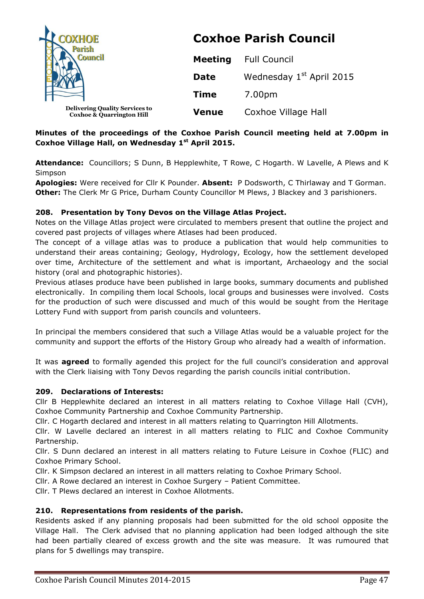| <b>COXHOE</b><br><b>Council</b>                                               | <b>Coxhoe Parish Council</b> |                                      |  |
|-------------------------------------------------------------------------------|------------------------------|--------------------------------------|--|
|                                                                               | <b>Meeting</b>               | <b>Full Council</b>                  |  |
|                                                                               | <b>Date</b>                  | Wednesday 1 <sup>st</sup> April 2015 |  |
|                                                                               | <b>Time</b>                  | 7.00pm                               |  |
| <b>Delivering Quality Services to</b><br><b>Coxhoe &amp; Quarrington Hill</b> | <b>Venue</b>                 | Coxhoe Village Hall                  |  |

# **Minutes of the proceedings of the Coxhoe Parish Council meeting held at 7.00pm in Coxhoe Village Hall, on Wednesday 1 st April 2015.**

**Attendance:** Councillors; S Dunn, B Hepplewhite, T Rowe, C Hogarth. W Lavelle, A Plews and K Simpson

**Apologies:** Were received for Cllr K Pounder. **Absent:** P Dodsworth, C Thirlaway and T Gorman. **Other:** The Clerk Mr G Price, Durham County Councillor M Plews, J Blackey and 3 parishioners.

### **208. Presentation by Tony Devos on the Village Atlas Project.**

Notes on the Village Atlas project were circulated to members present that outline the project and covered past projects of villages where Atlases had been produced.

The concept of a village atlas was to produce a publication that would help communities to understand their areas containing; Geology, Hydrology, Ecology, how the settlement developed over time, Architecture of the settlement and what is important, Archaeology and the social history (oral and photographic histories).

Previous atlases produce have been published in large books, summary documents and published electronically. In compiling them local Schools, local groups and businesses were involved. Costs for the production of such were discussed and much of this would be sought from the Heritage Lottery Fund with support from parish councils and volunteers.

In principal the members considered that such a Village Atlas would be a valuable project for the community and support the efforts of the History Group who already had a wealth of information.

It was **agreed** to formally agended this project for the full council's consideration and approval with the Clerk liaising with Tony Devos regarding the parish councils initial contribution.

### **209. Declarations of Interests:**

Cllr B Hepplewhite declared an interest in all matters relating to Coxhoe Village Hall (CVH), Coxhoe Community Partnership and Coxhoe Community Partnership.

Cllr. C Hogarth declared and interest in all matters relating to Quarrington Hill Allotments.

Cllr. W Lavelle declared an interest in all matters relating to FLIC and Coxhoe Community Partnership.

Cllr. S Dunn declared an interest in all matters relating to Future Leisure in Coxhoe (FLIC) and Coxhoe Primary School.

Cllr. K Simpson declared an interest in all matters relating to Coxhoe Primary School.

Cllr. A Rowe declared an interest in Coxhoe Surgery – Patient Committee.

Cllr. T Plews declared an interest in Coxhoe Allotments.

# **210. Representations from residents of the parish.**

Residents asked if any planning proposals had been submitted for the old school opposite the Village Hall. The Clerk advised that no planning application had been lodged although the site had been partially cleared of excess growth and the site was measure. It was rumoured that plans for 5 dwellings may transpire.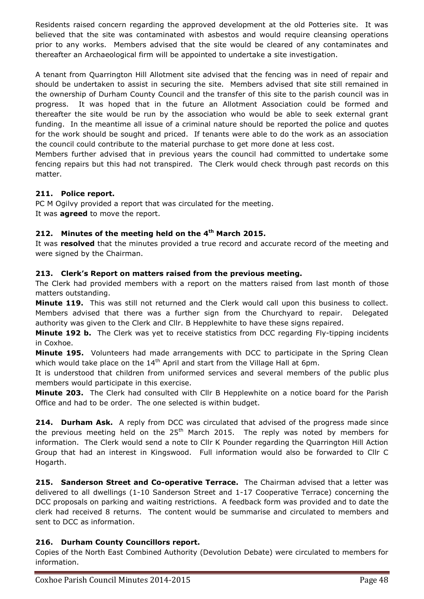Residents raised concern regarding the approved development at the old Potteries site. It was believed that the site was contaminated with asbestos and would require cleansing operations prior to any works. Members advised that the site would be cleared of any contaminates and thereafter an Archaeological firm will be appointed to undertake a site investigation.

A tenant from Quarrington Hill Allotment site advised that the fencing was in need of repair and should be undertaken to assist in securing the site. Members advised that site still remained in the ownership of Durham County Council and the transfer of this site to the parish council was in progress. It was hoped that in the future an Allotment Association could be formed and thereafter the site would be run by the association who would be able to seek external grant funding. In the meantime all issue of a criminal nature should be reported the police and quotes for the work should be sought and priced. If tenants were able to do the work as an association the council could contribute to the material purchase to get more done at less cost.

Members further advised that in previous years the council had committed to undertake some fencing repairs but this had not transpired. The Clerk would check through past records on this matter.

# **211. Police report.**

PC M Ogilvy provided a report that was circulated for the meeting. It was **agreed** to move the report.

# **212. Minutes of the meeting held on the 4 th March 2015.**

It was **resolved** that the minutes provided a true record and accurate record of the meeting and were signed by the Chairman.

# **213. Clerk's Report on matters raised from the previous meeting.**

The Clerk had provided members with a report on the matters raised from last month of those matters outstanding.

**Minute 119.** This was still not returned and the Clerk would call upon this business to collect. Members advised that there was a further sign from the Churchyard to repair. Delegated authority was given to the Clerk and Cllr. B Hepplewhite to have these signs repaired.

**Minute 192 b.** The Clerk was yet to receive statistics from DCC regarding Fly-tipping incidents in Coxhoe.

**Minute 195.** Volunteers had made arrangements with DCC to participate in the Spring Clean which would take place on the  $14<sup>th</sup>$  April and start from the Village Hall at 6pm.

It is understood that children from uniformed services and several members of the public plus members would participate in this exercise.

**Minute 203.** The Clerk had consulted with Cllr B Hepplewhite on a notice board for the Parish Office and had to be order. The one selected is within budget.

**214. Durham Ask.** A reply from DCC was circulated that advised of the progress made since the previous meeting held on the  $25<sup>th</sup>$  March 2015. The reply was noted by members for information. The Clerk would send a note to Cllr K Pounder regarding the Quarrington Hill Action Group that had an interest in Kingswood. Full information would also be forwarded to Cllr C Hogarth.

**215. Sanderson Street and Co-operative Terrace.** The Chairman advised that a letter was delivered to all dwellings (1-10 Sanderson Street and 1-17 Cooperative Terrace) concerning the DCC proposals on parking and waiting restrictions. A feedback form was provided and to date the clerk had received 8 returns. The content would be summarise and circulated to members and sent to DCC as information.

# **216. Durham County Councillors report.**

Copies of the North East Combined Authority (Devolution Debate) were circulated to members for information.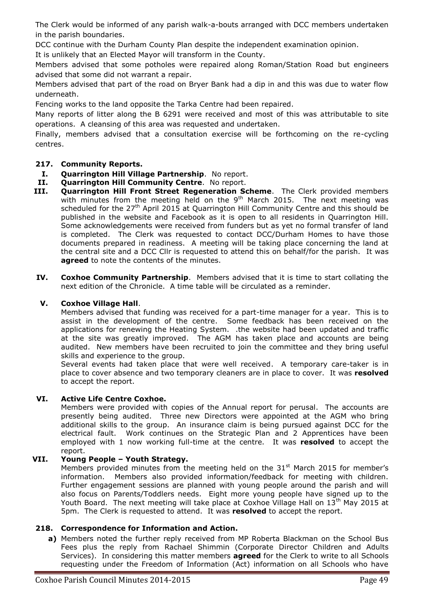The Clerk would be informed of any parish walk-a-bouts arranged with DCC members undertaken in the parish boundaries.

DCC continue with the Durham County Plan despite the independent examination opinion.

It is unlikely that an Elected Mayor will transform in the County.

Members advised that some potholes were repaired along Roman/Station Road but engineers advised that some did not warrant a repair.

Members advised that part of the road on Bryer Bank had a dip in and this was due to water flow underneath.

Fencing works to the land opposite the Tarka Centre had been repaired.

Many reports of litter along the B 6291 were received and most of this was attributable to site operations. A cleansing of this area was requested and undertaken.

Finally, members advised that a consultation exercise will be forthcoming on the re-cycling centres.

### **217. Community Reports.**

- **I. Quarrington Hill Village Partnership**. No report.
- **II. Quarrington Hill Community Centre**. No report.
- **III. Quarrington Hill Front Street Regeneration Scheme**. The Clerk provided members with minutes from the meeting held on the  $9<sup>th</sup>$  March 2015. The next meeting was scheduled for the  $27<sup>th</sup>$  April 2015 at Quarrington Hill Community Centre and this should be published in the website and Facebook as it is open to all residents in Quarrington Hill. Some acknowledgements were received from funders but as yet no formal transfer of land is completed. The Clerk was requested to contact DCC/Durham Homes to have those documents prepared in readiness. A meeting will be taking place concerning the land at the central site and a DCC Cllr is requested to attend this on behalf/for the parish. It was **agreed** to note the contents of the minutes.
- **IV. Coxhoe Community Partnership**. Members advised that it is time to start collating the next edition of the Chronicle. A time table will be circulated as a reminder.

### **V. Coxhoe Village Hall**.

Members advised that funding was received for a part-time manager for a year. This is to assist in the development of the centre. Some feedback has been received on the applications for renewing the Heating System. .the website had been updated and traffic at the site was greatly improved. The AGM has taken place and accounts are being audited. New members have been recruited to join the committee and they bring useful skills and experience to the group.

Several events had taken place that were well received. A temporary care-taker is in place to cover absence and two temporary cleaners are in place to cover. It was **resolved** to accept the report.

### **VI. Active Life Centre Coxhoe.**

Members were provided with copies of the Annual report for perusal. The accounts are presently being audited. Three new Directors were appointed at the AGM who bring additional skills to the group. An insurance claim is being pursued against DCC for the electrical fault. Work continues on the Strategic Plan and 2 Apprentices have been employed with 1 now working full-time at the centre. It was **resolved** to accept the report.

### **VII. Young People – Youth Strategy.**

Members provided minutes from the meeting held on the  $31<sup>st</sup>$  March 2015 for member's information. Members also provided information/feedback for meeting with children. Further engagement sessions are planned with young people around the parish and will also focus on Parents/Toddlers needs. Eight more young people have signed up to the Youth Board. The next meeting will take place at Coxhoe Village Hall on 13<sup>th</sup> May 2015 at 5pm. The Clerk is requested to attend. It was **resolved** to accept the report.

### **218. Correspondence for Information and Action.**

**a)** Members noted the further reply received from MP Roberta Blackman on the School Bus Fees plus the reply from Rachael Shimmin (Corporate Director Children and Adults Services). In considering this matter members **agreed** for the Clerk to write to all Schools requesting under the Freedom of Information (Act) information on all Schools who have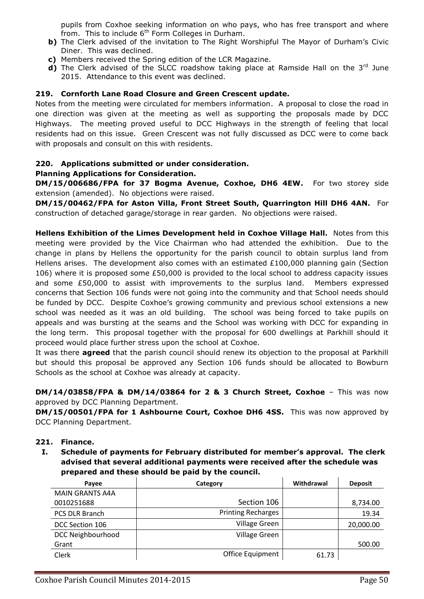pupils from Coxhoe seeking information on who pays, who has free transport and where from. This to include  $6<sup>th</sup>$  Form Colleges in Durham.

- **b)** The Clerk advised of the invitation to The Right Worshipful The Mayor of Durham's Civic Diner. This was declined.
- **c)** Members received the Spring edition of the LCR Magazine.
- d) The Clerk advised of the SLCC roadshow taking place at Ramside Hall on the 3<sup>rd</sup> June 2015. Attendance to this event was declined.

#### **219. Cornforth Lane Road Closure and Green Crescent update.**

Notes from the meeting were circulated for members information. A proposal to close the road in one direction was given at the meeting as well as supporting the proposals made by DCC Highways. The meeting proved useful to DCC Highways in the strength of feeling that local residents had on this issue. Green Crescent was not fully discussed as DCC were to come back with proposals and consult on this with residents.

### **220. Applications submitted or under consideration.**

#### **Planning Applications for Consideration.**

**DM/15/006686/FPA for 37 Bogma Avenue, Coxhoe, DH6 4EW.** For two storey side extension (amended). No objections were raised.

**DM/15/00462/FPA for Aston Villa, Front Street South, Quarrington Hill DH6 4AN.** For construction of detached garage/storage in rear garden. No objections were raised.

**Hellens Exhibition of the Limes Development held in Coxhoe Village Hall.** Notes from this meeting were provided by the Vice Chairman who had attended the exhibition. Due to the change in plans by Hellens the opportunity for the parish council to obtain surplus land from Hellens arises. The development also comes with an estimated  $£100,000$  planning gain (Section 106) where it is proposed some £50,000 is provided to the local school to address capacity issues and some £50,000 to assist with improvements to the surplus land. Members expressed concerns that Section 106 funds were not going into the community and that School needs should be funded by DCC. Despite Coxhoe's growing community and previous school extensions a new school was needed as it was an old building. The school was being forced to take pupils on appeals and was bursting at the seams and the School was working with DCC for expanding in the long term. This proposal together with the proposal for 600 dwellings at Parkhill should it proceed would place further stress upon the school at Coxhoe.

It was there **agreed** that the parish council should renew its objection to the proposal at Parkhill but should this proposal be approved any Section 106 funds should be allocated to Bowburn Schools as the school at Coxhoe was already at capacity.

**DM/14/03858/FPA & DM/14/03864 for 2 & 3 Church Street, Coxhoe** – This was now approved by DCC Planning Department.

**DM/15/00501/FPA for 1 Ashbourne Court, Coxhoe DH6 4SS.** This was now approved by DCC Planning Department.

#### **221. Finance.**

**I. Schedule of payments for February distributed for member's approval. The clerk advised that several additional payments were received after the schedule was prepared and these should be paid by the council.**

| Payee                  | Category                  | Withdrawal | <b>Deposit</b> |
|------------------------|---------------------------|------------|----------------|
| <b>MAIN GRANTS A4A</b> |                           |            |                |
| 0010251688             | Section 106               |            | 8,734.00       |
| <b>PCS DLR Branch</b>  | <b>Printing Recharges</b> |            | 19.34          |
| DCC Section 106        | <b>Village Green</b>      |            | 20,000.00      |
| DCC Neighbourhood      | <b>Village Green</b>      |            |                |
| Grant                  |                           |            | 500.00         |
| Clerk                  | Office Equipment          | 61.73      |                |